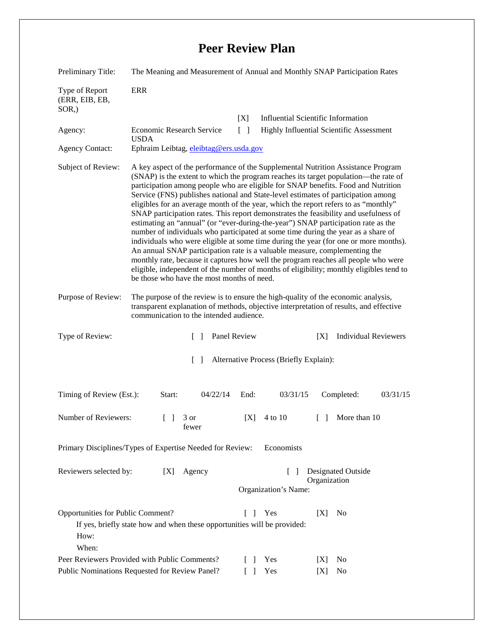## **Peer Review Plan**

| Preliminary Title:                                                                                                                                                       | The Meaning and Measurement of Annual and Monthly SNAP Participation Rates                                                                                                                                                                                                                                                                                                                                                                                                                                                                                                                                                                                                                                                                                                                                                                                                                                                                                                                                                                                                                                      |                                                    |                      |                                                 |
|--------------------------------------------------------------------------------------------------------------------------------------------------------------------------|-----------------------------------------------------------------------------------------------------------------------------------------------------------------------------------------------------------------------------------------------------------------------------------------------------------------------------------------------------------------------------------------------------------------------------------------------------------------------------------------------------------------------------------------------------------------------------------------------------------------------------------------------------------------------------------------------------------------------------------------------------------------------------------------------------------------------------------------------------------------------------------------------------------------------------------------------------------------------------------------------------------------------------------------------------------------------------------------------------------------|----------------------------------------------------|----------------------|-------------------------------------------------|
| Type of Report<br>(ERR, EIB, EB,<br>$SOR$ <sub>,</sub> )                                                                                                                 | <b>ERR</b>                                                                                                                                                                                                                                                                                                                                                                                                                                                                                                                                                                                                                                                                                                                                                                                                                                                                                                                                                                                                                                                                                                      |                                                    |                      |                                                 |
|                                                                                                                                                                          |                                                                                                                                                                                                                                                                                                                                                                                                                                                                                                                                                                                                                                                                                                                                                                                                                                                                                                                                                                                                                                                                                                                 | [X]                                                |                      | <b>Influential Scientific Information</b>       |
| Agency:                                                                                                                                                                  | Economic Research Service                                                                                                                                                                                                                                                                                                                                                                                                                                                                                                                                                                                                                                                                                                                                                                                                                                                                                                                                                                                                                                                                                       | $\lceil \; \rceil$                                 |                      | <b>Highly Influential Scientific Assessment</b> |
| <b>Agency Contact:</b>                                                                                                                                                   | <b>USDA</b><br>Ephraim Leibtag, eleibtag@ers.usda.gov                                                                                                                                                                                                                                                                                                                                                                                                                                                                                                                                                                                                                                                                                                                                                                                                                                                                                                                                                                                                                                                           |                                                    |                      |                                                 |
| Subject of Review:                                                                                                                                                       | A key aspect of the performance of the Supplemental Nutrition Assistance Program<br>(SNAP) is the extent to which the program reaches its target population—the rate of<br>participation among people who are eligible for SNAP benefits. Food and Nutrition<br>Service (FNS) publishes national and State-level estimates of participation among<br>eligibles for an average month of the year, which the report refers to as "monthly"<br>SNAP participation rates. This report demonstrates the feasibility and usefulness of<br>estimating an "annual" (or "ever-during-the-year") SNAP participation rate as the<br>number of individuals who participated at some time during the year as a share of<br>individuals who were eligible at some time during the year (for one or more months).<br>An annual SNAP participation rate is a valuable measure, complementing the<br>monthly rate, because it captures how well the program reaches all people who were<br>eligible, independent of the number of months of eligibility; monthly eligibles tend to<br>be those who have the most months of need. |                                                    |                      |                                                 |
| Purpose of Review:                                                                                                                                                       | The purpose of the review is to ensure the high-quality of the economic analysis,<br>transparent explanation of methods, objective interpretation of results, and effective<br>communication to the intended audience.                                                                                                                                                                                                                                                                                                                                                                                                                                                                                                                                                                                                                                                                                                                                                                                                                                                                                          |                                                    |                      |                                                 |
| Type of Review:                                                                                                                                                          | $\Box$                                                                                                                                                                                                                                                                                                                                                                                                                                                                                                                                                                                                                                                                                                                                                                                                                                                                                                                                                                                                                                                                                                          | Panel Review                                       |                      | <b>Individual Reviewers</b><br>[X]              |
| Alternative Process (Briefly Explain):<br>$\Box$                                                                                                                         |                                                                                                                                                                                                                                                                                                                                                                                                                                                                                                                                                                                                                                                                                                                                                                                                                                                                                                                                                                                                                                                                                                                 |                                                    |                      |                                                 |
| Timing of Review (Est.):                                                                                                                                                 | Start:<br>04/22/14                                                                                                                                                                                                                                                                                                                                                                                                                                                                                                                                                                                                                                                                                                                                                                                                                                                                                                                                                                                                                                                                                              | End:                                               | 03/31/15             | Completed:<br>03/31/15                          |
| Number of Reviewers:                                                                                                                                                     | $\begin{bmatrix} 1 & 3 \end{bmatrix}$<br>fewer                                                                                                                                                                                                                                                                                                                                                                                                                                                                                                                                                                                                                                                                                                                                                                                                                                                                                                                                                                                                                                                                  | [X]                                                | 4 to 10              | $\lceil \cdot \rceil$ More than 10              |
| Economists<br>Primary Disciplines/Types of Expertise Needed for Review:                                                                                                  |                                                                                                                                                                                                                                                                                                                                                                                                                                                                                                                                                                                                                                                                                                                                                                                                                                                                                                                                                                                                                                                                                                                 |                                                    |                      |                                                 |
| Reviewers selected by:<br>Agency<br>[X]                                                                                                                                  |                                                                                                                                                                                                                                                                                                                                                                                                                                                                                                                                                                                                                                                                                                                                                                                                                                                                                                                                                                                                                                                                                                                 | Designated Outside<br>$\mathbf{I}$<br>Organization |                      |                                                 |
|                                                                                                                                                                          |                                                                                                                                                                                                                                                                                                                                                                                                                                                                                                                                                                                                                                                                                                                                                                                                                                                                                                                                                                                                                                                                                                                 |                                                    | Organization's Name: |                                                 |
| Opportunities for Public Comment?<br>Yes<br>[X]<br>N <sub>0</sub><br>$\Box$<br>If yes, briefly state how and when these opportunities will be provided:<br>How:<br>When: |                                                                                                                                                                                                                                                                                                                                                                                                                                                                                                                                                                                                                                                                                                                                                                                                                                                                                                                                                                                                                                                                                                                 |                                                    |                      |                                                 |
| Peer Reviewers Provided with Public Comments?                                                                                                                            |                                                                                                                                                                                                                                                                                                                                                                                                                                                                                                                                                                                                                                                                                                                                                                                                                                                                                                                                                                                                                                                                                                                 |                                                    | Yes                  | No<br> X                                        |
| Public Nominations Requested for Review Panel?                                                                                                                           |                                                                                                                                                                                                                                                                                                                                                                                                                                                                                                                                                                                                                                                                                                                                                                                                                                                                                                                                                                                                                                                                                                                 |                                                    | Yes                  | [X]<br>No                                       |